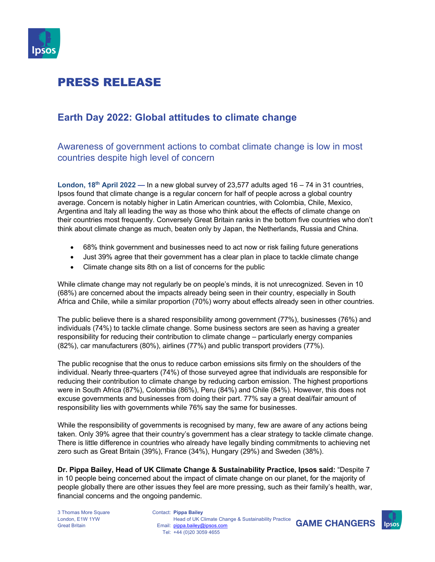

# PRESS RELEASE

### **Earth Day 2022: Global attitudes to climate change**

Awareness of government actions to combat climate change is low in most countries despite high level of concern

**London, 18th April 2022 —** In a new global survey of 23,577 adults aged 16 – 74 in 31 countries, Ipsos found that climate change is a regular concern for half of people across a global country average. Concern is notably higher in Latin American countries, with Colombia, Chile, Mexico, Argentina and Italy all leading the way as those who think about the effects of climate change on their countries most frequently. Conversely Great Britain ranks in the bottom five countries who don't think about climate change as much, beaten only by Japan, the Netherlands, Russia and China.

- 68% think government and businesses need to act now or risk failing future generations
- Just 39% agree that their government has a clear plan in place to tackle climate change
- Climate change sits 8th on a list of concerns for the public

While climate change may not regularly be on people's minds, it is not unrecognized. Seven in 10 (68%) are concerned about the impacts already being seen in their country, especially in South Africa and Chile, while a similar proportion (70%) worry about effects already seen in other countries.

The public believe there is a shared responsibility among government (77%), businesses (76%) and individuals (74%) to tackle climate change. Some business sectors are seen as having a greater responsibility for reducing their contribution to climate change – particularly energy companies (82%), car manufacturers (80%), airlines (77%) and public transport providers (77%).

The public recognise that the onus to reduce carbon emissions sits firmly on the shoulders of the individual. Nearly three-quarters (74%) of those surveyed agree that individuals are responsible for reducing their contribution to climate change by reducing carbon emission. The highest proportions were in South Africa (87%), Colombia (86%), Peru (84%) and Chile (84%). However, this does not excuse governments and businesses from doing their part. 77% say a great deal/fair amount of responsibility lies with governments while 76% say the same for businesses.

While the responsibility of governments is recognised by many, few are aware of any actions being taken. Only 39% agree that their country's government has a clear strategy to tackle climate change. There is little difference in countries who already have legally binding commitments to achieving net zero such as Great Britain (39%), France (34%), Hungary (29%) and Sweden (38%).

**Dr. Pippa Bailey, Head of UK Climate Change & Sustainability Practice, Ipsos said:** "Despite 7 in 10 people being concerned about the impact of climate change on our planet, for the majority of people globally there are other issues they feel are more pressing, such as their family's health, war, financial concerns and the ongoing pandemic.

3 Thomas More Square London, E1W 1YW Great Britain

Contact: **Pippa Bailey** Email: pippa.bailey@ipsos.com Tel: +44 (0)20 3059 4655 Head of UK Climate Change & Sustainability Practice



**GAME CHANGERS**